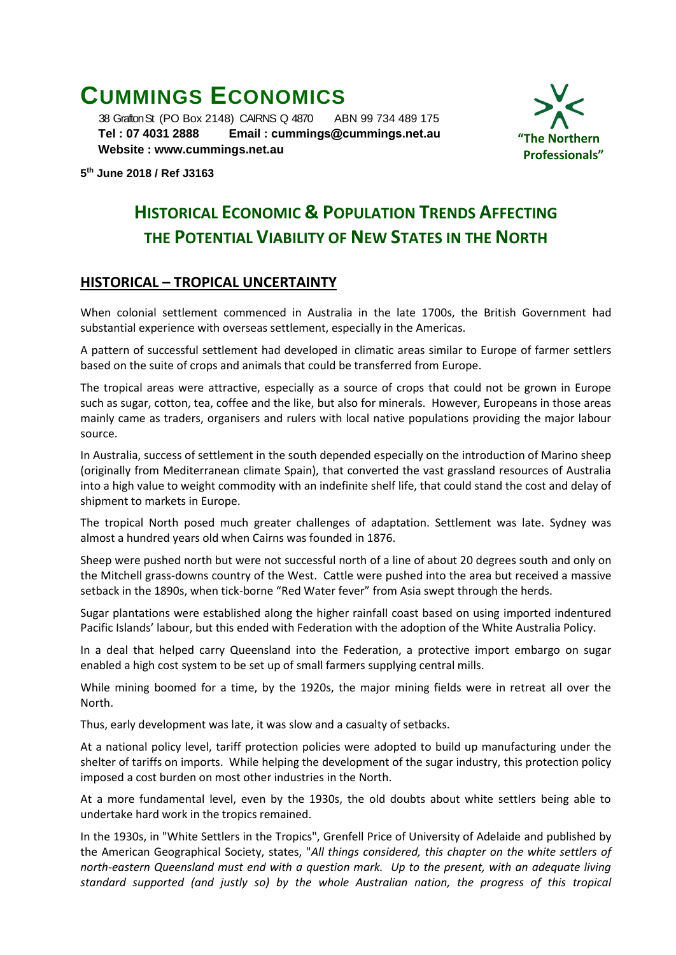# **CUMMINGS ECONOMICS**

 38 Grafton St (PO Box 2148) CAIRNS Q 4870 ABN 99 734 489 175  **Tel : 07 4031 2888 Email : [cummings@cummings.net.au](mailto:cummings@cummings.net.au) Website : www.cummings.net.au**



**5 th June 2018 / Ref J3163**

## **HISTORICAL ECONOMIC & POPULATION TRENDS AFFECTING THE POTENTIAL VIABILITY OF NEW STATES IN THE NORTH**

## **HISTORICAL – TROPICAL UNCERTAINTY**

When colonial settlement commenced in Australia in the late 1700s, the British Government had substantial experience with overseas settlement, especially in the Americas.

A pattern of successful settlement had developed in climatic areas similar to Europe of farmer settlers based on the suite of crops and animals that could be transferred from Europe.

The tropical areas were attractive, especially as a source of crops that could not be grown in Europe such as sugar, cotton, tea, coffee and the like, but also for minerals. However, Europeans in those areas mainly came as traders, organisers and rulers with local native populations providing the major labour source.

In Australia, success of settlement in the south depended especially on the introduction of Marino sheep (originally from Mediterranean climate Spain), that converted the vast grassland resources of Australia into a high value to weight commodity with an indefinite shelf life, that could stand the cost and delay of shipment to markets in Europe.

The tropical North posed much greater challenges of adaptation. Settlement was late. Sydney was almost a hundred years old when Cairns was founded in 1876.

Sheep were pushed north but were not successful north of a line of about 20 degrees south and only on the Mitchell grass-downs country of the West. Cattle were pushed into the area but received a massive setback in the 1890s, when tick-borne "Red Water fever" from Asia swept through the herds.

Sugar plantations were established along the higher rainfall coast based on using imported indentured Pacific Islands' labour, but this ended with Federation with the adoption of the White Australia Policy.

In a deal that helped carry Queensland into the Federation, a protective import embargo on sugar enabled a high cost system to be set up of small farmers supplying central mills.

While mining boomed for a time, by the 1920s, the major mining fields were in retreat all over the North.

Thus, early development was late, it was slow and a casualty of setbacks.

At a national policy level, tariff protection policies were adopted to build up manufacturing under the shelter of tariffs on imports. While helping the development of the sugar industry, this protection policy imposed a cost burden on most other industries in the North.

At a more fundamental level, even by the 1930s, the old doubts about white settlers being able to undertake hard work in the tropics remained.

In the 1930s, in "White Settlers in the Tropics", Grenfell Price of University of Adelaide and published by the American Geographical Society, states, "*All things considered, this chapter on the white settlers of north-eastern Queensland must end with a question mark. Up to the present, with an adequate living standard supported (and justly so) by the whole Australian nation, the progress of this tropical*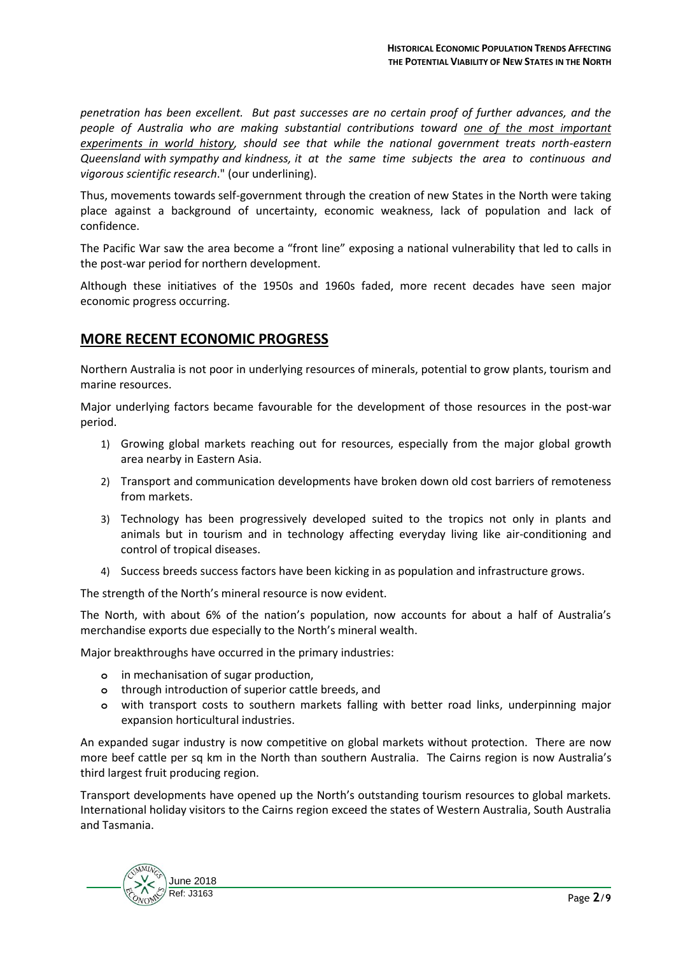*penetration has been excellent. But past successes are no certain proof of further advances, and the people of Australia who are making substantial contributions toward one of the most important experiments in world history, should see that while the national government treats north-eastern Queensland with sympathy and kindness, it at the same time subjects the area to continuous and vigorous scientific research*." (our underlining).

Thus, movements towards self-government through the creation of new States in the North were taking place against a background of uncertainty, economic weakness, lack of population and lack of confidence.

The Pacific War saw the area become a "front line" exposing a national vulnerability that led to calls in the post-war period for northern development.

Although these initiatives of the 1950s and 1960s faded, more recent decades have seen major economic progress occurring.

## **MORE RECENT ECONOMIC PROGRESS**

Northern Australia is not poor in underlying resources of minerals, potential to grow plants, tourism and marine resources.

Major underlying factors became favourable for the development of those resources in the post-war period.

- 1) Growing global markets reaching out for resources, especially from the major global growth area nearby in Eastern Asia.
- 2) Transport and communication developments have broken down old cost barriers of remoteness from markets.
- 3) Technology has been progressively developed suited to the tropics not only in plants and animals but in tourism and in technology affecting everyday living like air-conditioning and control of tropical diseases.
- 4) Success breeds success factors have been kicking in as population and infrastructure grows.

The strength of the North's mineral resource is now evident.

The North, with about 6% of the nation's population, now accounts for about a half of Australia's merchandise exports due especially to the North's mineral wealth.

Major breakthroughs have occurred in the primary industries:

- **o** in mechanisation of sugar production,
- **o** through introduction of superior cattle breeds, and
- **o** with transport costs to southern markets falling with better road links, underpinning major expansion horticultural industries.

An expanded sugar industry is now competitive on global markets without protection. There are now more beef cattle per sq km in the North than southern Australia. The Cairns region is now Australia's third largest fruit producing region.

Transport developments have opened up the North's outstanding tourism resources to global markets. International holiday visitors to the Cairns region exceed the states of Western Australia, South Australia and Tasmania.

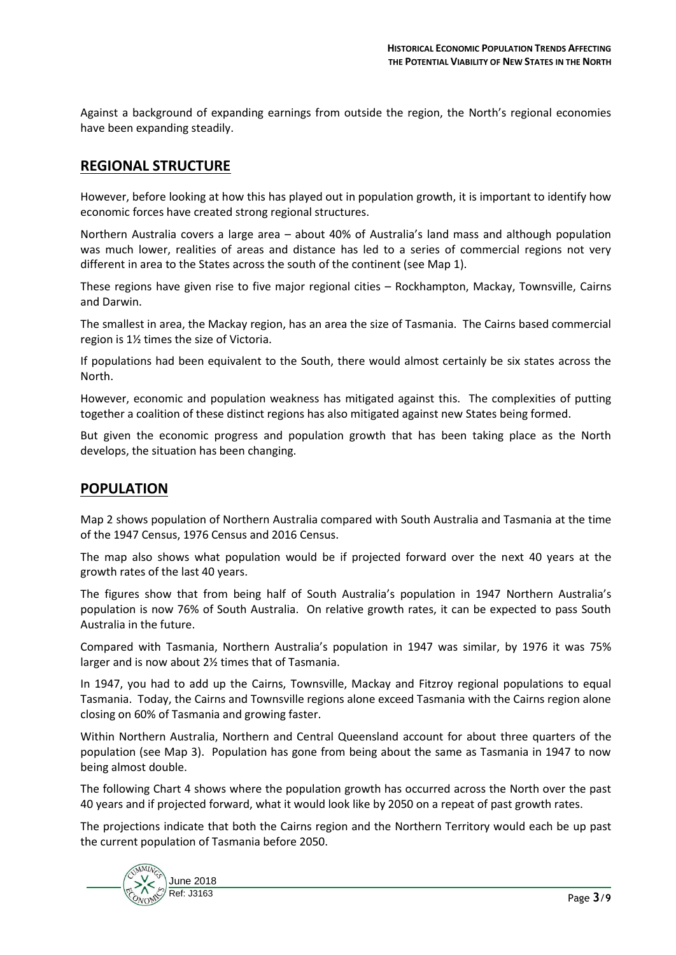Against a background of expanding earnings from outside the region, the North's regional economies have been expanding steadily.

## **REGIONAL STRUCTURE**

However, before looking at how this has played out in population growth, it is important to identify how economic forces have created strong regional structures.

Northern Australia covers a large area – about 40% of Australia's land mass and although population was much lower, realities of areas and distance has led to a series of commercial regions not very different in area to the States across the south of the continent (see Map 1).

These regions have given rise to five major regional cities – Rockhampton, Mackay, Townsville, Cairns and Darwin.

The smallest in area, the Mackay region, has an area the size of Tasmania. The Cairns based commercial region is 1½ times the size of Victoria.

If populations had been equivalent to the South, there would almost certainly be six states across the North.

However, economic and population weakness has mitigated against this. The complexities of putting together a coalition of these distinct regions has also mitigated against new States being formed.

But given the economic progress and population growth that has been taking place as the North develops, the situation has been changing.

## **POPULATION**

Map 2 shows population of Northern Australia compared with South Australia and Tasmania at the time of the 1947 Census, 1976 Census and 2016 Census.

The map also shows what population would be if projected forward over the next 40 years at the growth rates of the last 40 years.

The figures show that from being half of South Australia's population in 1947 Northern Australia's population is now 76% of South Australia. On relative growth rates, it can be expected to pass South Australia in the future.

Compared with Tasmania, Northern Australia's population in 1947 was similar, by 1976 it was 75% larger and is now about 2½ times that of Tasmania.

In 1947, you had to add up the Cairns, Townsville, Mackay and Fitzroy regional populations to equal Tasmania. Today, the Cairns and Townsville regions alone exceed Tasmania with the Cairns region alone closing on 60% of Tasmania and growing faster.

Within Northern Australia, Northern and Central Queensland account for about three quarters of the population (see Map 3). Population has gone from being about the same as Tasmania in 1947 to now being almost double.

The following Chart 4 shows where the population growth has occurred across the North over the past 40 years and if projected forward, what it would look like by 2050 on a repeat of past growth rates.

The projections indicate that both the Cairns region and the Northern Territory would each be up past the current population of Tasmania before 2050.

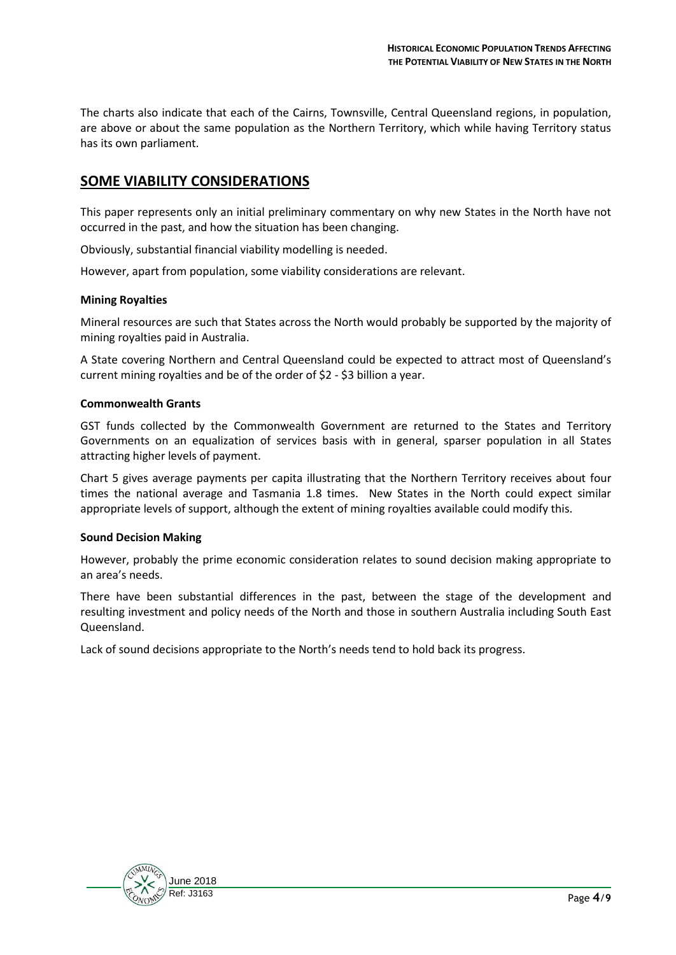The charts also indicate that each of the Cairns, Townsville, Central Queensland regions, in population, are above or about the same population as the Northern Territory, which while having Territory status has its own parliament.

## **SOME VIABILITY CONSIDERATIONS**

This paper represents only an initial preliminary commentary on why new States in the North have not occurred in the past, and how the situation has been changing.

Obviously, substantial financial viability modelling is needed.

However, apart from population, some viability considerations are relevant.

#### **Mining Royalties**

Mineral resources are such that States across the North would probably be supported by the majority of mining royalties paid in Australia.

A State covering Northern and Central Queensland could be expected to attract most of Queensland's current mining royalties and be of the order of \$2 - \$3 billion a year.

#### **Commonwealth Grants**

GST funds collected by the Commonwealth Government are returned to the States and Territory Governments on an equalization of services basis with in general, sparser population in all States attracting higher levels of payment.

Chart 5 gives average payments per capita illustrating that the Northern Territory receives about four times the national average and Tasmania 1.8 times. New States in the North could expect similar appropriate levels of support, although the extent of mining royalties available could modify this.

#### **Sound Decision Making**

However, probably the prime economic consideration relates to sound decision making appropriate to an area's needs.

There have been substantial differences in the past, between the stage of the development and resulting investment and policy needs of the North and those in southern Australia including South East Queensland.

Lack of sound decisions appropriate to the North's needs tend to hold back its progress.

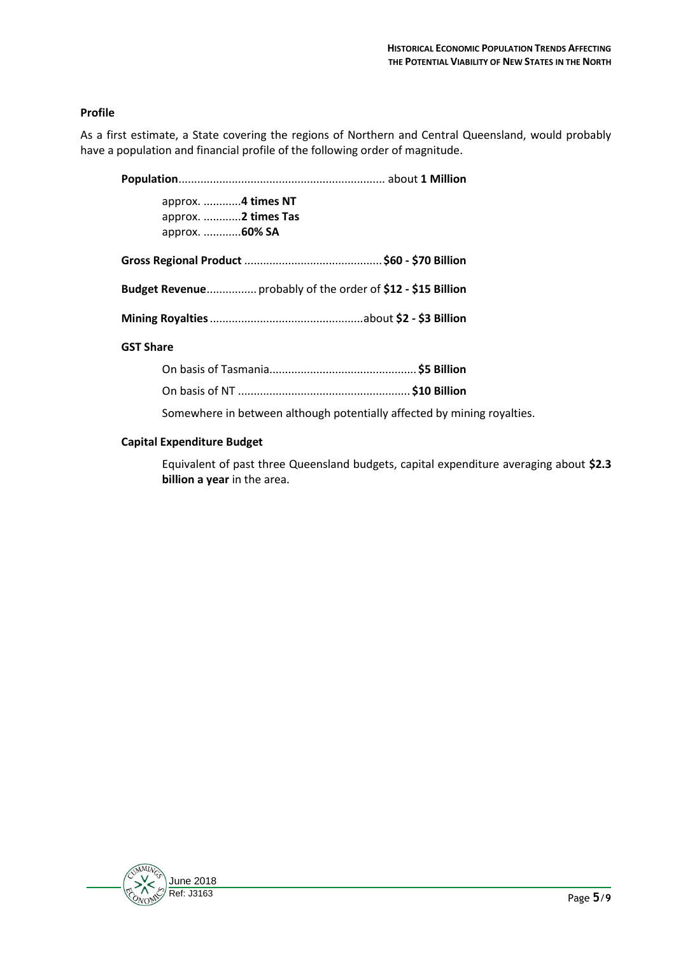#### **Profile**

As a first estimate, a State covering the regions of Northern and Central Queensland, would probably have a population and financial profile of the following order of magnitude.

**Population**.................................................................. about **1 Million**

approx. ............**4 times NT** approx. ............**2 times Tas** approx. ............**60% SA**

**Gross Regional Product** ............................................**\$60 - \$70 Billion**

**Budget Revenue**................ probably of the order of **\$12 - \$15 Billion**

**Mining Royalties**.................................................about **\$2 - \$3 Billion**

#### **GST Share**

| Somewhere in between although potentially affected by mining royalties. |  |
|-------------------------------------------------------------------------|--|

#### **Capital Expenditure Budget**

Equivalent of past three Queensland budgets, capital expenditure averaging about **\$2.3 billion a year** in the area.

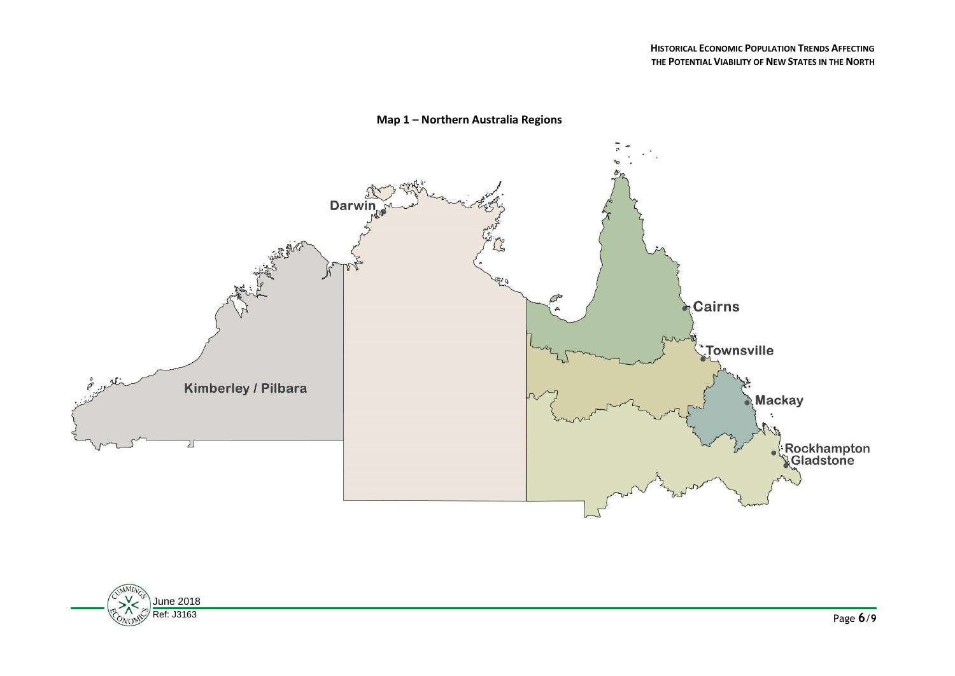

### **Map 1 – Northern Australia Regions**

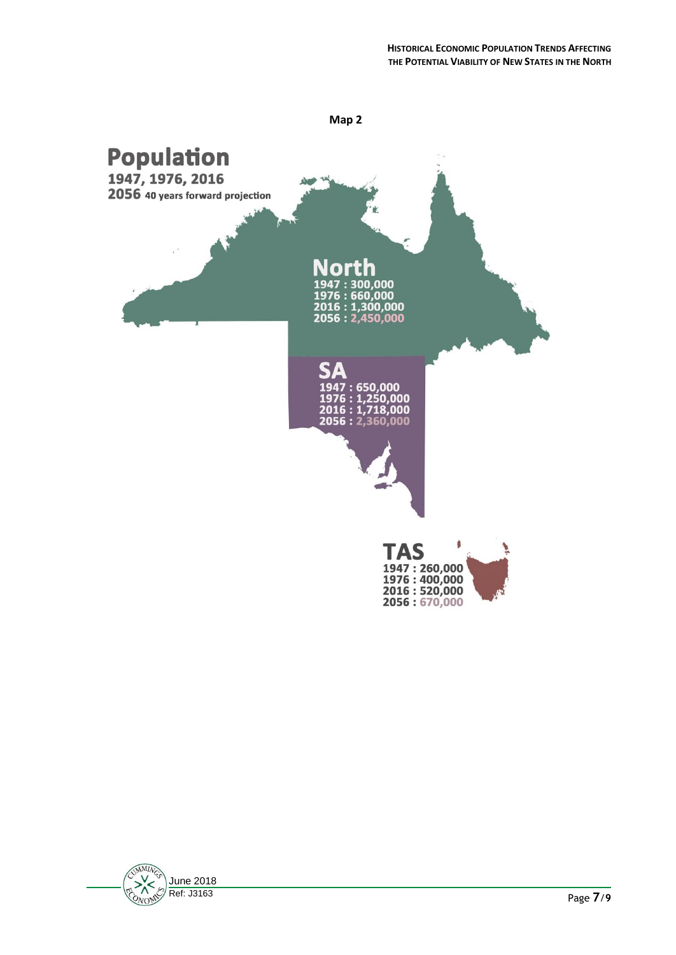

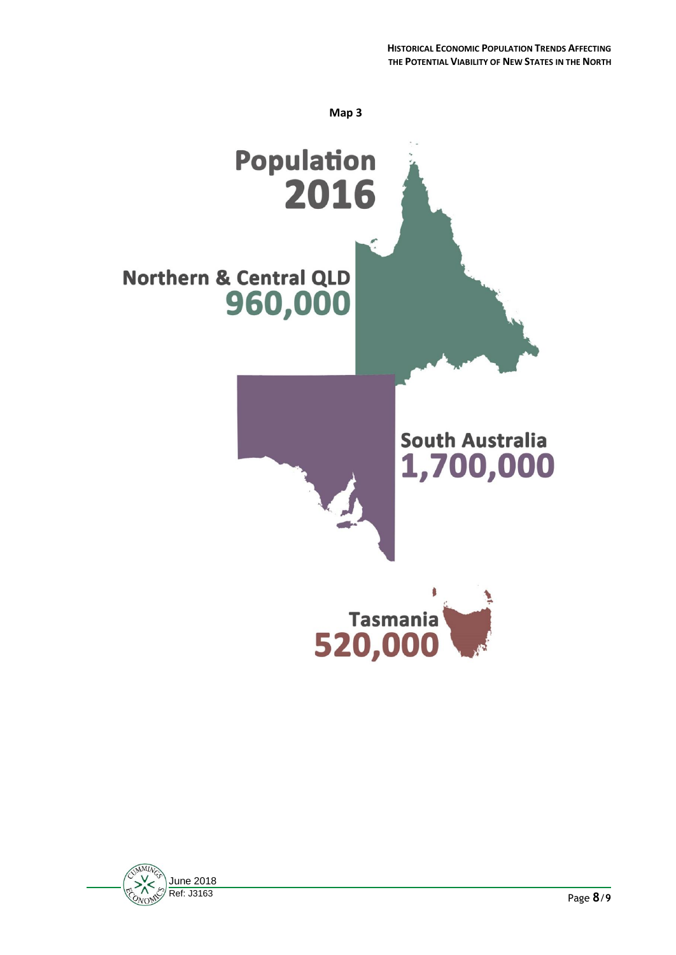